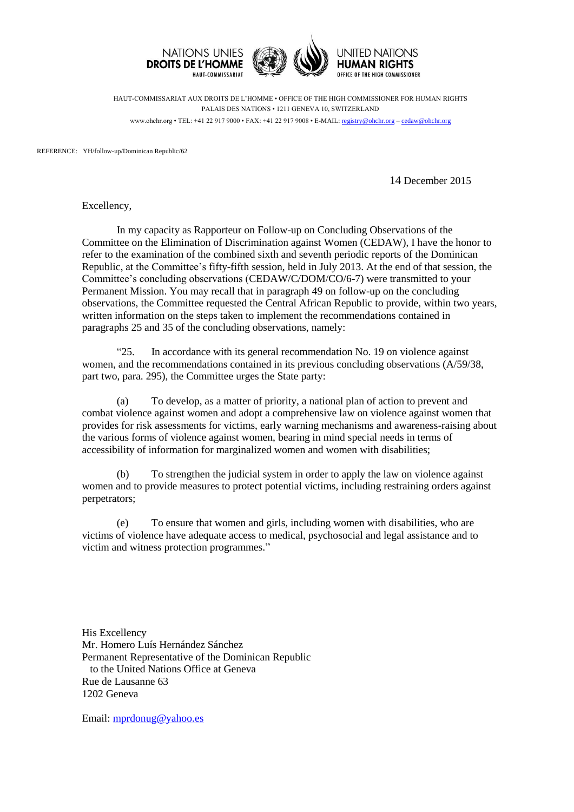

HAUT-COMMISSARIAT AUX DROITS DE L'HOMME • OFFICE OF THE HIGH COMMISSIONER FOR HUMAN RIGHTS PALAIS DES NATIONS • 1211 GENEVA 10, SWITZERLAND www.ohchr.org • TEL: +41 22 917 9000 • FAX: +41 22 917 9008 • E-MAIL: [registry@ohchr.org](mailto:registry@ohchr.org) – [cedaw@ohchr.org](mailto:cedaw@ohchr.org)

REFERENCE: YH/follow-up/Dominican Republic/62

14 December 2015

Excellency,

In my capacity as Rapporteur on Follow-up on Concluding Observations of the Committee on the Elimination of Discrimination against Women (CEDAW), I have the honor to refer to the examination of the combined sixth and seventh periodic reports of the Dominican Republic, at the Committee's fifty-fifth session, held in July 2013. At the end of that session, the Committee's concluding observations (CEDAW/C/DOM/CO/6-7) were transmitted to your Permanent Mission. You may recall that in paragraph 49 on follow-up on the concluding observations, the Committee requested the Central African Republic to provide, within two years, written information on the steps taken to implement the recommendations contained in paragraphs 25 and 35 of the concluding observations, namely:

"25. In accordance with its general recommendation No. 19 on violence against women, and the recommendations contained in its previous concluding observations (A/59/38, part two, para. 295), the Committee urges the State party:

(a) To develop, as a matter of priority, a national plan of action to prevent and combat violence against women and adopt a comprehensive law on violence against women that provides for risk assessments for victims, early warning mechanisms and awareness-raising about the various forms of violence against women, bearing in mind special needs in terms of accessibility of information for marginalized women and women with disabilities;

(b) To strengthen the judicial system in order to apply the law on violence against women and to provide measures to protect potential victims, including restraining orders against perpetrators;

(e) To ensure that women and girls, including women with disabilities, who are victims of violence have adequate access to medical, psychosocial and legal assistance and to victim and witness protection programmes."

His Excellency Mr. Homero Luís Hernández Sánchez Permanent Representative of the Dominican Republic to the United Nations Office at Geneva Rue de Lausanne 63 1202 Geneva

Email: [mprdonug@yahoo.es](mailto:mprdonug@yahoo.es)